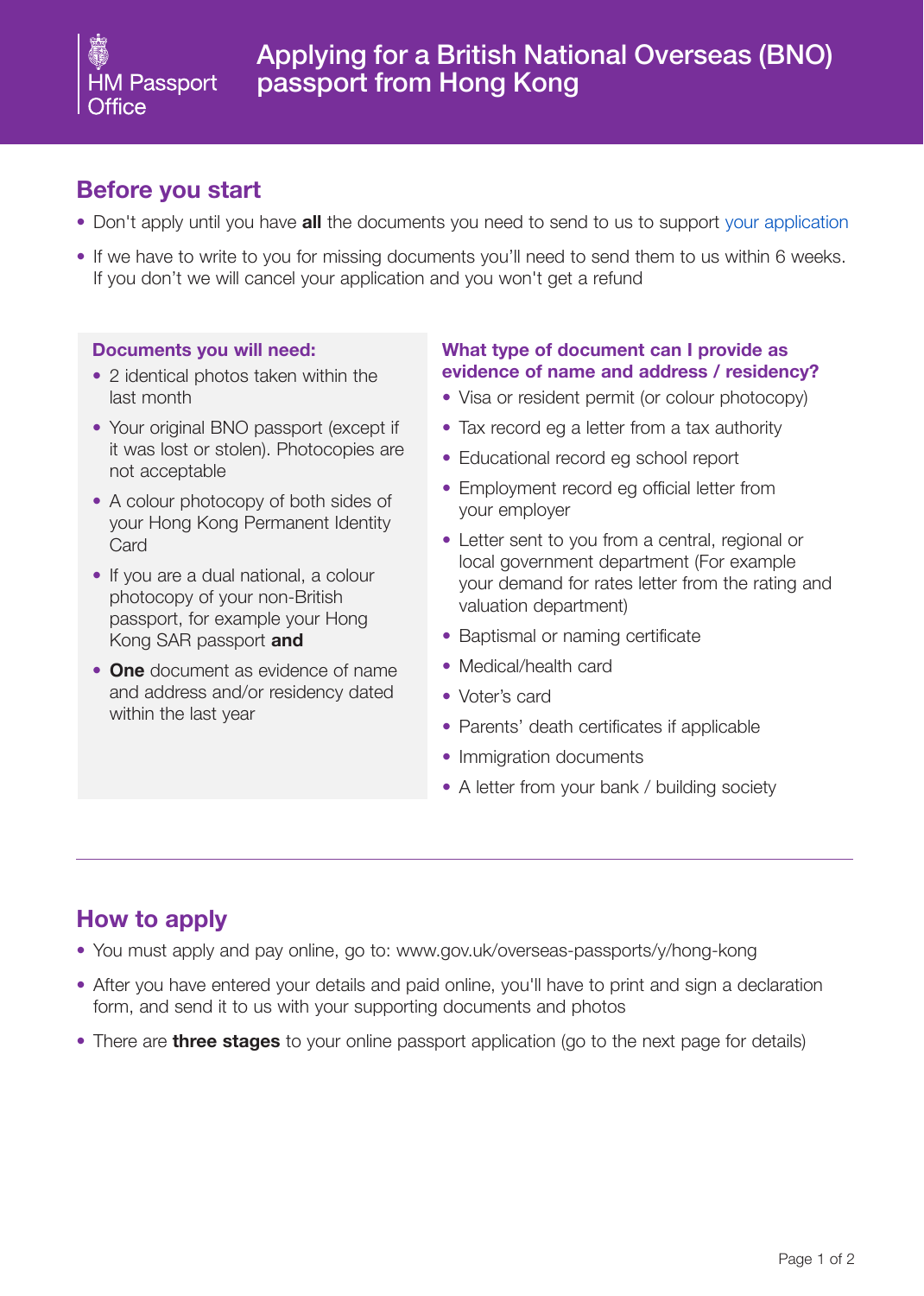## **Before you start**

- Don't apply until you have **all** the documents you need to send to us to support [your application](https://deedpolloffice.com/change-name/who-to-tell/passport)
- If we have to write to you for missing documents you'll need to send them to us within 6 weeks. If you don't we will cancel your application and you won't get a refund

#### **Documents you will need:**

- 2 identical photos taken within the last month
- Your original BNO passport (except if it was lost or stolen). Photocopies are not acceptable
- A colour photocopy of both sides of your Hong Kong Permanent Identity **Card**
- If you are a dual national, a colour photocopy of your non-British passport, for example your Hong Kong SAR passport **and**
- **One** document as evidence of name and address and/or residency dated within the last year

#### **What type of document can I provide as evidence of name and address / residency?**

- Visa or resident permit (or colour photocopy)
- Tax record eg a letter from a tax authority
- Educational record eg school report
- Employment record eg official letter from your employer
- Letter sent to you from a central, regional or local government department (For example your demand for rates letter from the rating and valuation department)
- Baptismal or naming certificate
- Medical/health card
- Voter's card
- Parents' death certificates if applicable
- Immigration documents
- A letter from your bank / building society

# **How to apply**

- You must apply and pay online, go to: www.gov.uk/overseas-passports/y/hong-kong
- After you have entered your details and paid online, you'll have to print and sign a declaration form, and send it to us with your supporting documents and photos
- There are **three stages** to your online passport application (go to the next page for details)